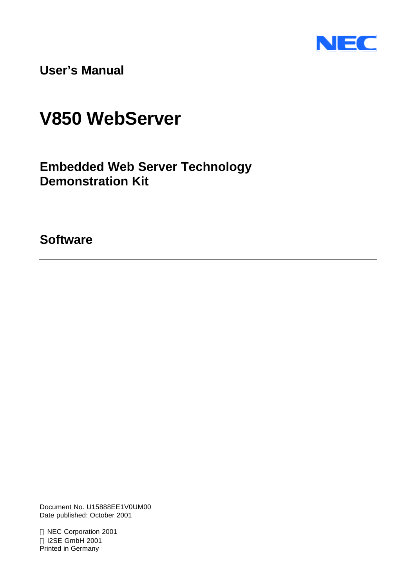

**User's Manual**

# **V850 WebServer**

**Embedded Web Server Technology Demonstration Kit**

**Software**

Document No. U15888EE1V0UM00 Date published: October 2001

 NEC Corporation 2001 I2SE GmbH 2001 Printed in Germany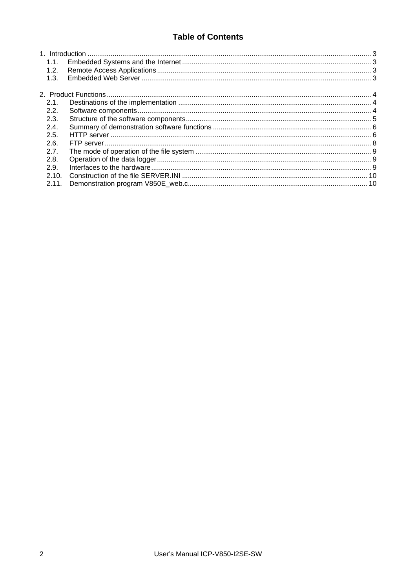# **Table of Contents**

| 1.1.  |  |
|-------|--|
| 1.2.  |  |
| 1.3.  |  |
|       |  |
| 2.1.  |  |
| 2.2.  |  |
| 2.3.  |  |
| 2.4.  |  |
| 2.5.  |  |
| 2.6.  |  |
| 2.7.  |  |
| 2.8.  |  |
| 2.9.  |  |
| 2.10. |  |
| 2.11. |  |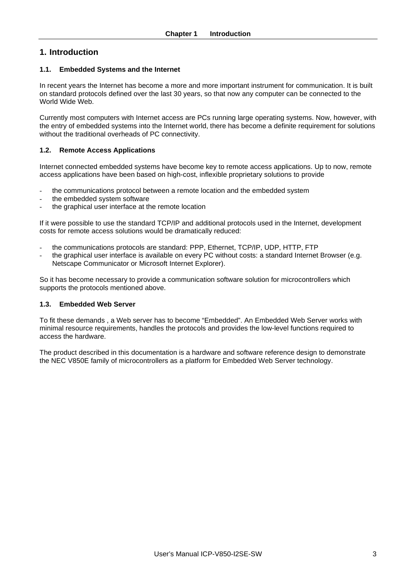# **1. Introduction**

# **1.1. Embedded Systems and the Internet**

In recent years the Internet has become a more and more important instrument for communication. It is built on standard protocols defined over the last 30 years, so that now any computer can be connected to the World Wide Web.

Currently most computers with Internet access are PCs running large operating systems. Now, however, with the entry of embedded systems into the Internet world, there has become a definite requirement for solutions without the traditional overheads of PC connectivity.

# **1.2. Remote Access Applications**

Internet connected embedded systems have become key to remote access applications. Up to now, remote access applications have been based on high-cost, inflexible proprietary solutions to provide

- the communications protocol between a remote location and the embedded system
- the embedded system software
- the graphical user interface at the remote location

If it were possible to use the standard TCP/IP and additional protocols used in the Internet, development costs for remote access solutions would be dramatically reduced:

- the communications protocols are standard: PPP, Ethernet, TCP/IP, UDP, HTTP, FTP
- the graphical user interface is available on every PC without costs: a standard Internet Browser (e.g. Netscape Communicator or Microsoft Internet Explorer).

So it has become necessary to provide a communication software solution for microcontrollers which supports the protocols mentioned above.

# **1.3. Embedded Web Server**

To fit these demands , a Web server has to become "Embedded". An Embedded Web Server works with minimal resource requirements, handles the protocols and provides the low-level functions required to access the hardware.

The product described in this documentation is a hardware and software reference design to demonstrate the NEC V850E family of microcontrollers as a platform for Embedded Web Server technology.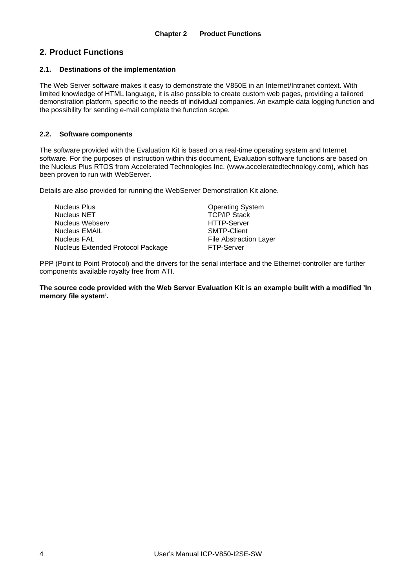# **2. Product Functions**

# **2.1. Destinations of the implementation**

The Web Server software makes it easy to demonstrate the V850E in an Internet/Intranet context. With limited knowledge of HTML language, it is also possible to create custom web pages, providing a tailored demonstration platform, specific to the needs of individual companies. An example data logging function and the possibility for sending e-mail complete the function scope.

## **2.2. Software components**

The software provided with the Evaluation Kit is based on a real-time operating system and Internet software. For the purposes of instruction within this document, Evaluation software functions are based on the Nucleus Plus RTOS from Accelerated Technologies Inc. (www.acceleratedtechnology.com), which has been proven to run with WebServer.

Details are also provided for running the WebServer Demonstration Kit alone.

| Nucleus Plus                      | <b>Operating System</b>       |
|-----------------------------------|-------------------------------|
| Nucleus NET                       | <b>TCP/IP Stack</b>           |
| Nucleus Webserv                   | <b>HTTP-Server</b>            |
| Nucleus EMAIL                     | <b>SMTP-Client</b>            |
| Nucleus FAL                       | <b>File Abstraction Layer</b> |
| Nucleus Extended Protocol Package | <b>FTP-Server</b>             |
|                                   |                               |

PPP (Point to Point Protocol) and the drivers for the serial interface and the Ethernet-controller are further components available royalty free from ATI.

**The source code provided with the Web Server Evaluation Kit is an example built with a modified 'In memory file system'.**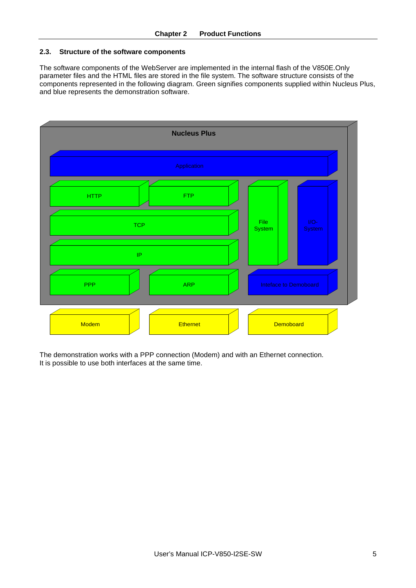## **2.3. Structure of the software components**

The software components of the WebServer are implemented in the internal flash of the V850E.Only parameter files and the HTML files are stored in the file system. The software structure consists of the components represented in the following diagram. Green signifies components supplied within Nucleus Plus, and blue represents the demonstration software.



The demonstration works with a PPP connection (Modem) and with an Ethernet connection. It is possible to use both interfaces at the same time.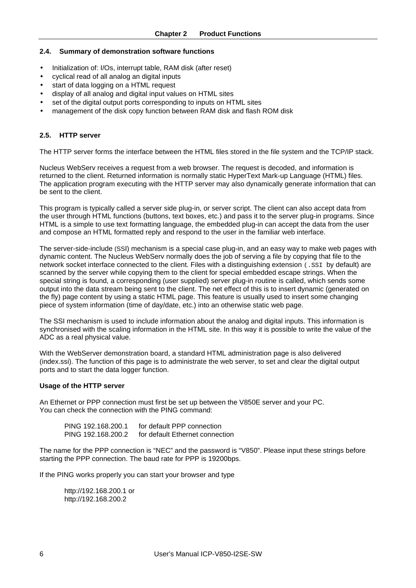### **2.4. Summary of demonstration software functions**

- Initialization of: I/Os, interrupt table, RAM disk (after reset)
- cyclical read of all analog an digital inputs
- start of data logging on a HTML request
- display of all analog and digital input values on HTML sites
- set of the digital output ports corresponding to inputs on HTML sites
- management of the disk copy function between RAM disk and flash ROM disk

### **2.5. HTTP server**

The HTTP server forms the interface between the HTML files stored in the file system and the TCP/IP stack.

Nucleus WebServ receives a request from a web browser. The request is decoded, and information is returned to the client. Returned information is normally static HyperText Mark-up Language (HTML) files. The application program executing with the HTTP server may also dynamically generate information that can be sent to the client.

This program is typically called a server side plug-in, or server script. The client can also accept data from the user through HTML functions (buttons, text boxes, etc.) and pass it to the server plug-in programs. Since HTML is a simple to use text formatting language, the embedded plug-in can accept the data from the user and compose an HTML formatted reply and respond to the user in the familiar web interface.

The server-side-include (SSI) mechanism is a special case plug-in, and an easy way to make web pages with dynamic content. The Nucleus WebServ normally does the job of serving a file by copying that file to the network socket interface connected to the client. Files with a distinguishing extension (.SSI by default) are scanned by the server while copying them to the client for special embedded escape strings. When the special string is found, a corresponding (user supplied) server plug-in routine is called, which sends some output into the data stream being sent to the client. The net effect of this is to insert dynamic (generated on the fly) page content by using a static HTML page. This feature is usually used to insert some changing piece of system information (time of day/date, etc.) into an otherwise static web page.

The SSI mechanism is used to include information about the analog and digital inputs. This information is synchronised with the scaling information in the HTML site. In this way it is possible to write the value of the ADC as a real physical value.

With the WebServer demonstration board, a standard HTML administration page is also delivered (index.ssi). The function of this page is to administrate the web server, to set and clear the digital output ports and to start the data logger function.

#### **Usage of the HTTP server**

An Ethernet or PPP connection must first be set up between the V850E server and your PC. You can check the connection with the PING command:

| PING 192.168.200.1 | for default PPP connection      |
|--------------------|---------------------------------|
| PING 192.168.200.2 | for default Ethernet connection |

The name for the PPP connection is "NEC" and the password is "V850". Please input these strings before starting the PPP connection. The baud rate for PPP is 19200bps.

If the PING works properly you can start your browser and type

http://192.168.200.1 or http://192.168.200.2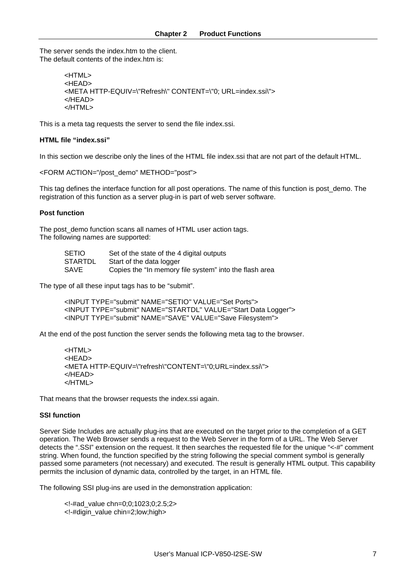The server sends the index.htm to the client. The default contents of the index htm is:

```
<HTML><HEAD>
<META HTTP-EQUIV=\"Refresh\" CONTENT=\"0; URL=index.ssi\">
</HEAD>
</HTML>
```
This is a meta tag requests the server to send the file index.ssi.

#### **HTML file "index.ssi"**

In this section we describe only the lines of the HTML file index.ssi that are not part of the default HTML.

<FORM ACTION="/post\_demo" METHOD="post">

This tag defines the interface function for all post operations. The name of this function is post demo. The registration of this function as a server plug-in is part of web server software.

#### **Post function**

The post demo function scans all names of HTML user action tags. The following names are supported:

| SETIO   | Set of the state of the 4 digital outputs              |
|---------|--------------------------------------------------------|
| STARTDL | Start of the data logger                               |
| SAVE    | Copies the "In memory file system" into the flash area |

The type of all these input tags has to be "submit".

<INPUT TYPE="submit" NAME="SETIO" VALUE="Set Ports"> <INPUT TYPE="submit" NAME="STARTDL" VALUE="Start Data Logger"> <INPUT TYPE="submit" NAME="SAVE" VALUE="Save Filesystem">

At the end of the post function the server sends the following meta tag to the browser.

```
<HTML>
<HEAD>
<META HTTP-EQUIV=\"refresh\"CONTENT=\"0;URL=index.ssi\">
</HEAD>
</HTML>
```
That means that the browser requests the index.ssi again.

#### **SSI function**

Server Side Includes are actually plug-ins that are executed on the target prior to the completion of a GET operation. The Web Browser sends a request to the Web Server in the form of a URL. The Web Server detects the ".SSI" extension on the request. It then searches the requested file for the unique "<-#" comment string. When found, the function specified by the string following the special comment symbol is generally passed some parameters (not necessary) and executed. The result is generally HTML output. This capability permits the inclusion of dynamic data, controlled by the target, in an HTML file.

The following SSI plug-ins are used in the demonstration application:

<!-#ad\_value chn=0;0;1023;0;2.5;2> <!-#digin\_value chin=2;low;high>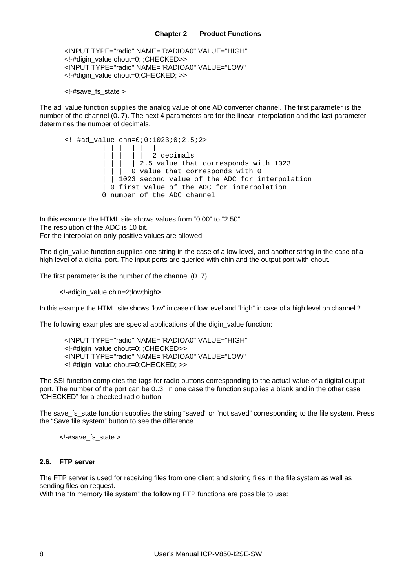```
<INPUT TYPE="radio" NAME="RADIOA0" VALUE="HIGH"
<!-#digin_value chout=0; ;CHECKED>>
<INPUT TYPE="radio" NAME="RADIOA0" VALUE="LOW"
<!-#digin_value chout=0;CHECKED; >>
```
<!-#save\_fs\_state >

The ad\_value function supplies the analog value of one AD converter channel. The first parameter is the number of the channel (0..7). The next 4 parameters are for the linear interpolation and the last parameter determines the number of decimals.

```
\lt!-#ad value chn=0;0;1023;0;2.5;2>
         ||| || |
                    2 decimals
                 2.5 value that corresponds with 1023
               0 value that corresponds with 0| 1023 second value of the ADC for interpolation
          0 first value of the ADC for interpolation
         0 number of the ADC channel
```
In this example the HTML site shows values from "0.00" to "2.50". The resolution of the ADC is 10 bit. For the interpolation only positive values are allowed.

The digin value function supplies one string in the case of a low level, and another string in the case of a high level of a digital port. The input ports are queried with chin and the output port with chout.

The first parameter is the number of the channel (0..7).

<!-#digin\_value chin=2;low;high>

In this example the HTML site shows "low" in case of low level and "high" in case of a high level on channel 2.

The following examples are special applications of the digin\_value function:

```
<INPUT TYPE="radio" NAME="RADIOA0" VALUE="HIGH"
<!-#digin_value chout=0; ;CHECKED>>
<INPUT TYPE="radio" NAME="RADIOA0" VALUE="LOW"
<!-#digin_value chout=0;CHECKED; >>
```
The SSI function completes the tags for radio buttons corresponding to the actual value of a digital output port. The number of the port can be 0..3. In one case the function supplies a blank and in the other case "CHECKED" for a checked radio button.

The save fs state function supplies the string "saved" or "not saved" corresponding to the file system. Press the "Save file system" button to see the difference.

<!-#save\_fs\_state >

# **2.6. FTP server**

The FTP server is used for receiving files from one client and storing files in the file system as well as sending files on request.

With the "In memory file system" the following FTP functions are possible to use: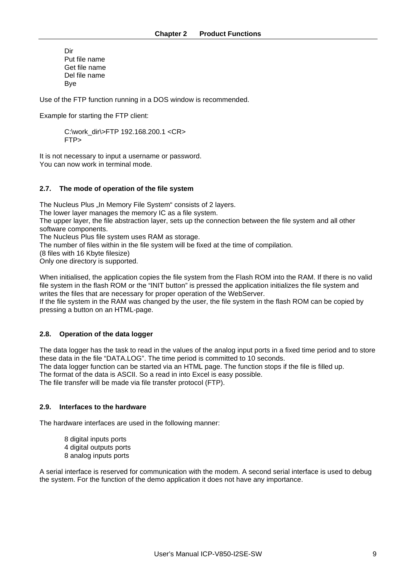Dir Put file name Get file name Del file name Bye

Use of the FTP function running in a DOS window is recommended.

Example for starting the FTP client:

C:\work\_dir\>FTP 192.168.200.1 <CR> FTP>

It is not necessary to input a username or password. You can now work in terminal mode.

### **2.7. The mode of operation of the file system**

The Nucleus Plus ..In Memory File System" consists of 2 layers. The lower layer manages the memory IC as a file system. The upper layer, the file abstraction layer, sets up the connection between the file system and all other software components. The Nucleus Plus file system uses RAM as storage. The number of files within in the file system will be fixed at the time of compilation. (8 files with 16 Kbyte filesize) Only one directory is supported.

When initialised, the application copies the file system from the Flash ROM into the RAM. If there is no valid file system in the flash ROM or the "INIT button" is pressed the application initializes the file system and writes the files that are necessary for proper operation of the WebServer. If the file system in the RAM was changed by the user, the file system in the flash ROM can be copied by pressing a button on an HTML-page.

# **2.8. Operation of the data logger**

The data logger has the task to read in the values of the analog input ports in a fixed time period and to store these data in the file "DATA.LOG". The time period is committed to 10 seconds. The data logger function can be started via an HTML page. The function stops if the file is filled up. The format of the data is ASCII. So a read in into Excel is easy possible. The file transfer will be made via file transfer protocol (FTP).

#### **2.9. Interfaces to the hardware**

The hardware interfaces are used in the following manner:

8 digital inputs ports 4 digital outputs ports 8 analog inputs ports

A serial interface is reserved for communication with the modem. A second serial interface is used to debug the system. For the function of the demo application it does not have any importance.